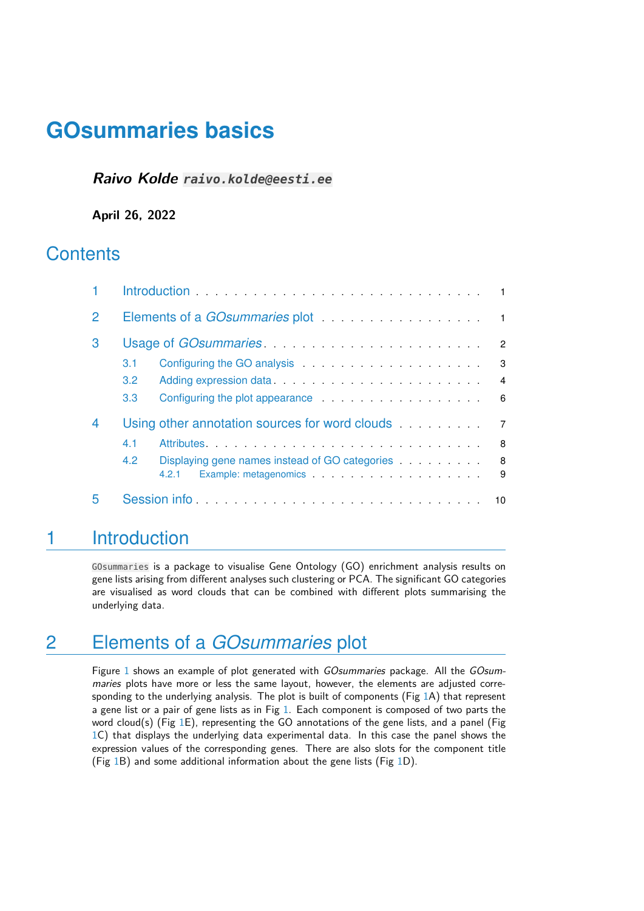### **Raivo Kolde raivo.kolde@eesti.ee**

**April 26, 2022**

## **Contents**

| $\mathcal P$ | Elements of a <i>GOsummaries</i> plot entertainments of a material split of the split of the split of the split of the split of the split of the split of the split of the split of the split of the split of the split of the spli                  |                |
|--------------|------------------------------------------------------------------------------------------------------------------------------------------------------------------------------------------------------------------------------------------------------|----------------|
| 3            | $\overline{2}$                                                                                                                                                                                                                                       |                |
|              | Configuring the GO analysis <b>Example 20</b> analysis <b>Example 20</b> and 20 analysis <b>CO</b> and 20 and 20 and 20 and 20 and 20 and 20 and 20 and 20 and 20 and 20 and 20 and 20 and 20 and 20 and 20 and 20 and 20 and 20 and 20 and 2<br>3.1 | 3              |
|              | $3.2^{\circ}$<br>$\overline{4}$                                                                                                                                                                                                                      |                |
|              | - 6<br>3.3<br>Configuring the plot appearance entitled and such a set of the set of the set of the set of the set of the set of the set of the set of the set of the set of the set of the set of the set of the set of the set of the set o         |                |
| 4            | Using other annotation sources for word clouds                                                                                                                                                                                                       | $\overline{7}$ |
|              | Attributes Attributes Activities Attributes Attributes Activities Attributes Activities Activities A<br>-8<br>4.1                                                                                                                                    |                |
|              | Displaying gene names instead of GO categories<br>8<br>4.2                                                                                                                                                                                           |                |
|              | 4.2.1                                                                                                                                                                                                                                                | 9              |
| 5            | Session information and the service of the service of the service of the service of the service of the service of the service of the service of the service of the service of the service of the service of the service of the                       |                |

## <span id="page-0-0"></span>1 Introduction

<span id="page-0-1"></span>GOsummaries is a package to visualise Gene Ontology (GO) enrichment analysis results on gene lists arising from different analyses such clustering or PCA. The significant GO categories are visualised as word clouds that can be combined with different plots summarising the underlying data.

## 2 Elements of a *GOsummaries* plot

Figure [1](#page-1-1) shows an example of plot generated with GOsummaries package. All the GOsummaries plots have more or less the same layout, however, the elements are adjusted corresponding to the underlying analysis. The plot is built of components (Fig [1A](#page-1-1)) that represent a gene list or a pair of gene lists as in Fig [1.](#page-1-1) Each component is composed of two parts the word cloud(s) (Fig [1E](#page-1-1)), representing the GO annotations of the gene lists, and a panel (Fig [1C](#page-1-1)) that displays the underlying data experimental data. In this case the panel shows the expression values of the corresponding genes. There are also slots for the component title (Fig [1B](#page-1-1)) and some additional information about the gene lists (Fig [1D](#page-1-1)).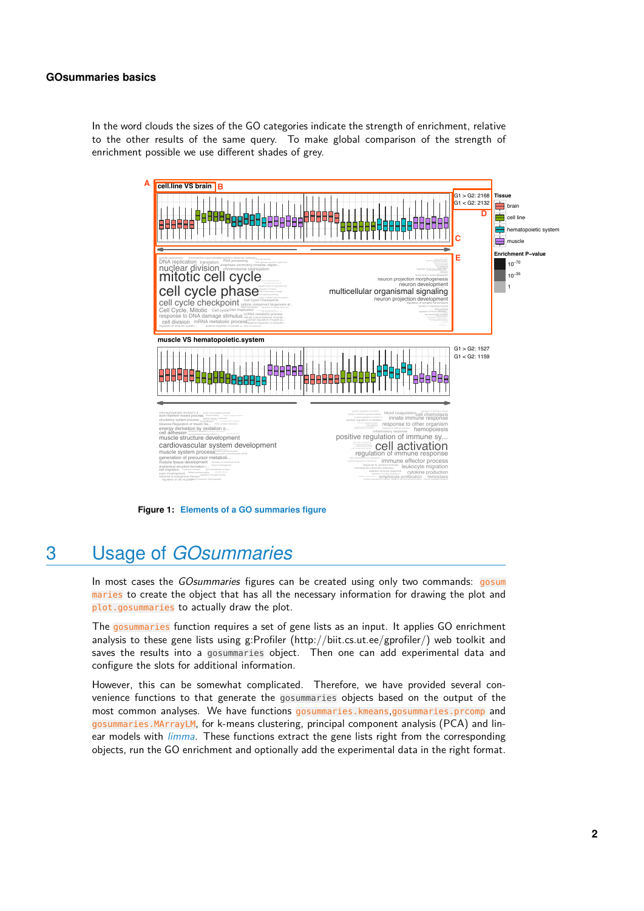In the word clouds the sizes of the GO categories indicate the strength of enrichment, relative to the other results of the same query. To make global comparison of the strength of enrichment possible we use different shades of grey.

<span id="page-1-1"></span>

protein complex assembly

cellular amino acid metabolic pr...DNA damage response, signal tran...

<span id="page-1-0"></span>**Figure 1: Elements of a GO summaries figure**

## 3 Usage of *GOsummaries*

positive regulation of cytokine ...

Measles

ce the object maries to create the object that has all the necessary information for drawing the plot and ies to actually draw the plot. In most cases the *GOsummaries* figures can be created using only two commands: gosum response to other organism plot.gosummaries to actually draw the plot.

The gosummaries function requires a set of gene lists as an input. It applies GO enrichment analysis to these gene lists using g:Profiler (http://biit.cs.ut.ee/gprofiler/) web toolkit and integrin−mediated signaling pathway saves the results into a gosummaries object. Then one can add experimental data and configure the slots for additional information.

However, this can be somewhat complicated. Therefore, we have provided several convenience functions to that generate the gosummaries objects based on the output of the most common analyses. We have functions gosummaries.kmeans,gosummaries.prcomp and gosummaries.MArrayLM, for k-means clustering, principal component analysis (PCA) and linear models with *[limma](http://bioconductor.org/packages/limma)*. These functions extract the gene lists right from the corresponding objects, run the GO enrichment and optionally add the experimental data in the right format.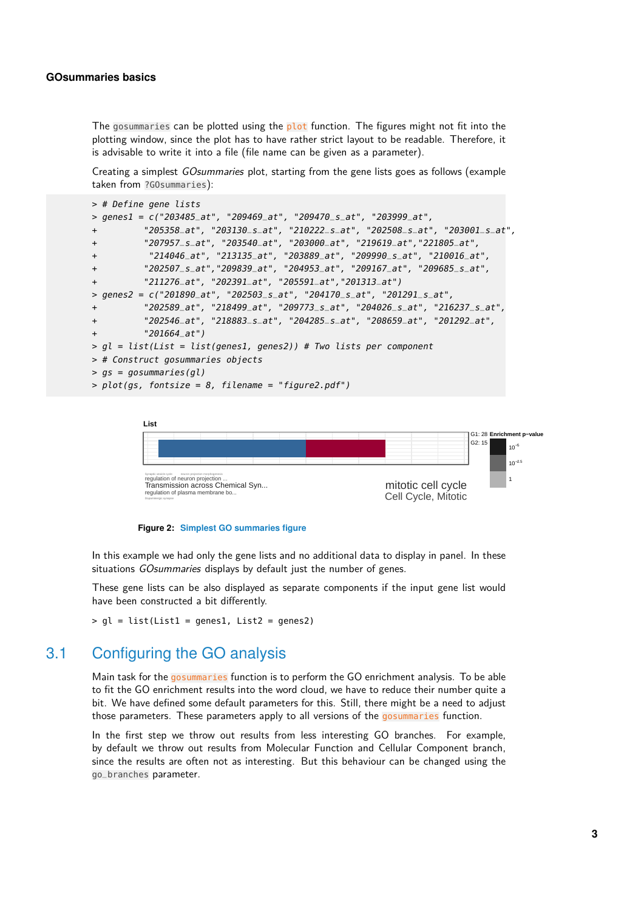The gosummaries can be plotted using the plot function. The figures might not fit into the plotting window, since the plot has to have rather strict layout to be readable. Therefore, it is advisable to write it into a file (file name can be given as a parameter).

Creating a simplest GOsummaries plot, starting from the gene lists goes as follows (example taken from ?GOsummaries):

```
> # Define gene lists
> genes1 = c("203485_at", "209469_at", "209470_s_at", "203999_at",
+ "205358_at", "203130_s_at", "210222_s_at", "202508_s_at", "203001_s_at",
+ "207957_s_at", "203540_at", "203000_at", "219619_at","221805_at",
+ "214046_at", "213135_at", "203889_at", "209990_s_at", "210016_at",
+ "202507_s_at","209839_at", "204953_at", "209167_at", "209685_s_at",
+ "211276_at", "202391_at", "205591_at","201313_at")
> genes2 = c("201890_at", "202503_s_at", "204170_s_at", "201291_s_at",
+ "202589_at", "218499_at", "209773_s_at", "204026_s_at", "216237_s_at",
+ "202546_at", "218883_s_at", "204285_s_at", "208659_at", "201292_at",
+ "201664_at")
> gl = list(List = list(genes1, genes2)) # Two lists per component
> # Construct gosummaries objects
> gs = gosummaries(gl)
> plot(gs, fontsize = 8, filename = "figure2.pdf")
```


**Figure 2: Simplest GO summaries figure**

In this example we had only the gene lists and no additional data to display in panel. In these situations GOsummaries displays by default just the number of genes.

These gene lists can be also displayed as separate components if the input gene list would have been constructed a bit differently.

```
> gl = list(List1 = genes1, List2 = genes2)
```
### 3.1 Configuring the GO analysis

Main task for the gosummaries function is to perform the GO enrichment analysis. To be able to fit the GO enrichment results into the word cloud, we have to reduce their number quite a bit. We have defined some default parameters for this. Still, there might be a need to adjust those parameters. These parameters apply to all versions of the gosummaries function.

In the first step we throw out results from less interesting GO branches. For example, by default we throw out results from Molecular Function and Cellular Component branch, since the results are often not as interesting. But this behaviour can be changed using the go\_branches parameter.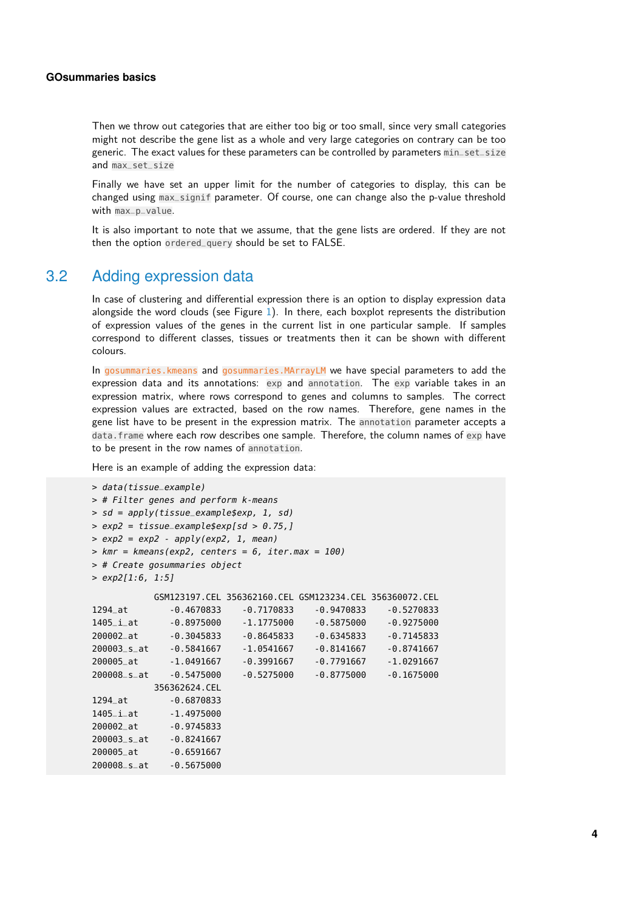Then we throw out categories that are either too big or too small, since very small categories might not describe the gene list as a whole and very large categories on contrary can be too generic. The exact values for these parameters can be controlled by parameters min\_set\_size and max\_set\_size

Finally we have set an upper limit for the number of categories to display, this can be changed using max\_signif parameter. Of course, one can change also the p-value threshold with max\_p\_value.

<span id="page-3-0"></span>It is also important to note that we assume, that the gene lists are ordered. If they are not then the option ordered\_query should be set to FALSE.

### 3.2 Adding expression data

In case of clustering and differential expression there is an option to display expression data alongside the word clouds (see Figure  $1$ ). In there, each boxplot represents the distribution of expression values of the genes in the current list in one particular sample. If samples correspond to different classes, tissues or treatments then it can be shown with different colours.

In gosummaries.kmeans and gosummaries.MArrayLM we have special parameters to add the expression data and its annotations: exp and annotation. The exp variable takes in an expression matrix, where rows correspond to genes and columns to samples. The correct expression values are extracted, based on the row names. Therefore, gene names in the gene list have to be present in the expression matrix. The annotation parameter accepts a data. frame where each row describes one sample. Therefore, the column names of exp have to be present in the row names of annotation.

Here is an example of adding the expression data:

```
> data(tissue_example)
> # Filter genes and perform k-means
> sd = apply(tissue_example$exp, 1, sd)
> exp2 = tissue_example$exp[sd > 0.75,]
> exp2 = exp2 - apply(exp2, 1, mean)> kmr = kmeans(exp2, centers = 6, iter.max = 100)
> # Create gosummaries object
> exp2[1:6, 1:5]
          GSM123197.CEL 356362160.CEL GSM123234.CEL 356360072.CEL
1294_at -0.4670833 -0.7170833 -0.9470833 -0.5270833
1405_i_at -0.8975000 -1.1775000 -0.5875000 -0.9275000
200002_at -0.3045833 -0.8645833 -0.6345833 -0.7145833
200003_s_at -0.5841667 -1.0541667 -0.8141667 -0.8741667
200005_at -1.0491667 -0.3991667 -0.7791667 -1.0291667
200008_s_at -0.5475000 -0.5275000 -0.8775000 -0.1675000
         356362624.CEL
1294_at -0.6870833
1405_i_at -1.4975000
200002_at -0.9745833
200003_s_at -0.8241667
200005_at -0.6591667
200008_s_at -0.5675000
```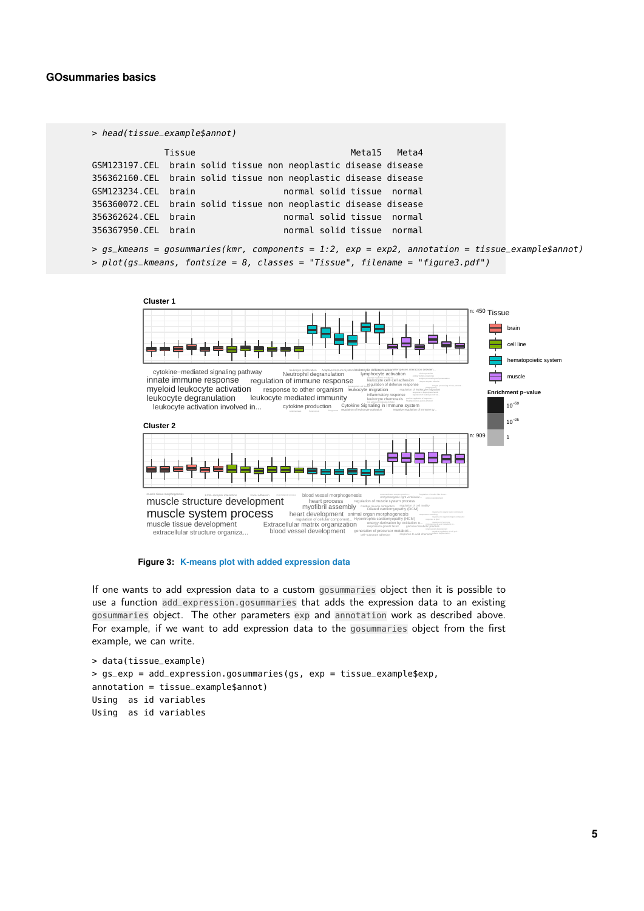```
> head(tissue_example$annot)
           Tissue Metal5 Meta4
GSM123197.CEL brain solid tissue non neoplastic disease disease
356362160.CEL brain solid tissue non neoplastic disease disease
GSM123234.CEL brain normal solid tissue normal
356360072.CEL brain solid tissue non neoplastic disease disease
356362624.CEL brain normal solid tissue normal
356367950.CEL brain normal solid tissue normal
```

```
> gs_k = gosummaries(kmr, components = 1:2, exp = exp2, annotation = tissue_example$annot)
> plot(gs_kmeans, fontsize = 8, classes = "Tissue", filename = "figure3.pdf")
```


**Figure 3: K-means plot with added expression data**

If one wants to add expression data to a custom gosummaries object then it is possible to use a function add\_expression.gosummaries that adds the expression data to an existing gosummaries object. The other parameters exp and annotation work as described above. For example, if we want to add expression data to the gosummaries object from the first example, we can write.

```
> data(tissue_example)
> gs_exp = add_expression.gosummaries(gs, exp = tissue_example$exp,
annotation = tissue_example$annot)
Using as id variables
Using as id variables
```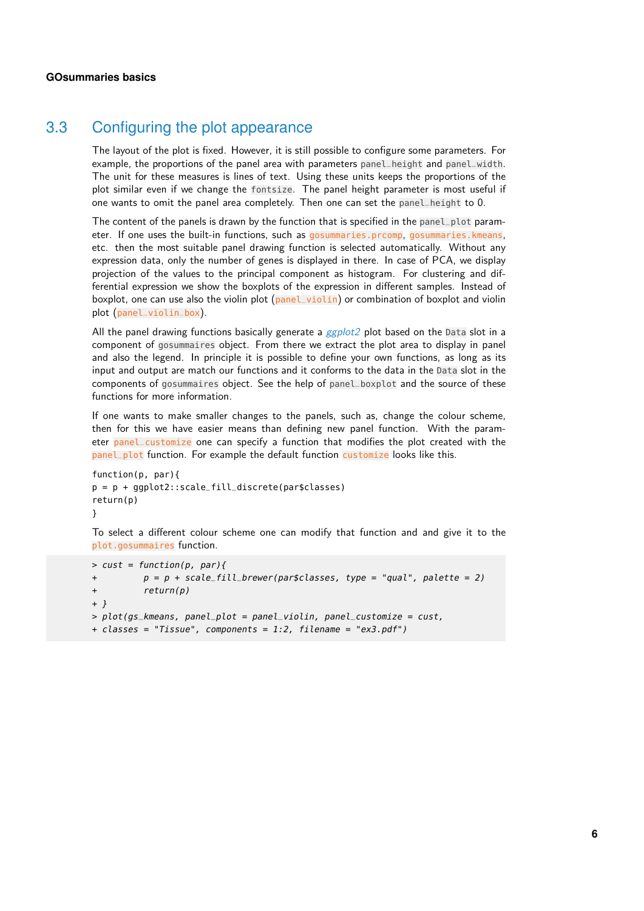### 3.3 Configuring the plot appearance

The layout of the plot is fixed. However, it is still possible to configure some parameters. For example, the proportions of the panel area with parameters panel\_height and panel\_width. The unit for these measures is lines of text. Using these units keeps the proportions of the plot similar even if we change the fontsize. The panel height parameter is most useful if one wants to omit the panel area completely. Then one can set the panel\_height to 0.

The content of the panels is drawn by the function that is specified in the panel\_plot parameter. If one uses the built-in functions, such as gosummaries.prcomp, gosummaries.kmeans, etc. then the most suitable panel drawing function is selected automatically. Without any expression data, only the number of genes is displayed in there. In case of PCA, we display projection of the values to the principal component as histogram. For clustering and differential expression we show the boxplots of the expression in different samples. Instead of boxplot, one can use also the violin plot (panel\_violin) or combination of boxplot and violin plot (panel\_violin\_box).

All the panel drawing functions basically generate a  $ggplot2$  plot based on the Data slot in a component of gosummaires object. From there we extract the plot area to display in panel and also the legend. In principle it is possible to define your own functions, as long as its input and output are match our functions and it conforms to the data in the Data slot in the components of gosummaires object. See the help of panel\_boxplot and the source of these functions for more information.

If one wants to make smaller changes to the panels, such as, change the colour scheme, then for this we have easier means than defining new panel function. With the parameter panel\_customize one can specify a function that modifies the plot created with the panel\_plot function. For example the default function customize looks like this.

```
function(p, par){
p = p + ggplot2::scale_fill_discrete(par$classes)
return(p)
}
```
To select a different colour scheme one can modify that function and and give it to the plot.gosummaires function.

```
> cust = function(p, par){
+ p = p + scale_fill_brewer(par$classes, type = "qual", palette = 2)
+ return(p)
+ }
> plot(gs_kmeans, panel_plot = panel_violin, panel_customize = cust,
+ classes = "Tissue", components = 1:2, filename = "ex3.pdf")
```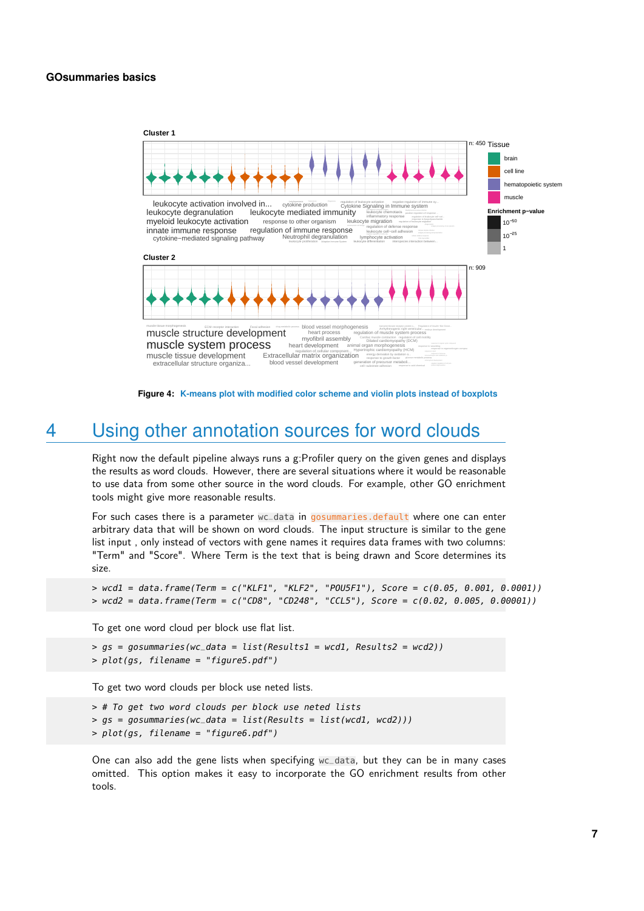

**Figure 4: K-means plot with modified color scheme and violin plots instead of boxplots**

## 4 Using other annotation sources for word clouds

<span id="page-6-0"></span>Right now the default pipeline always runs a g:Profiler query on the given genes and displays the results as word clouds. However, there are several situations where it would be reasonable to use data from some other source in the word clouds. For example, other GO enrichment tools might give more reasonable results.

For such cases there is a parameter wc\_data in gosummaries.default where one can enter arbitrary data that will be shown on word clouds. The input structure is similar to the gene list input , only instead of vectors with gene names it requires data frames with two columns: "Term" and "Score". Where Term is the text that is being drawn and Score determines its size.

```
> wcd1 = data.frame(Term = c("KLF1", "KLF2", "POU5F1"), Score = c(0.05, 0.001, 0.0001))
> wcd2 = data.frame(Term = c("CD8", "CD248", "CCL5"), Score = c(0.02, 0.005, 0.00001))
```
To get one word cloud per block use flat list.

```
> qs = qosummaries(wc_data = list(Results1 = wcd1, Results2 = wcd2))> plot(gs, filename = "figure5.pdf")
```
To get two word clouds per block use neted lists.

> # To get two word clouds per block use neted lists > gs = gosummaries(wc\_data = list(Results = list(wcd1, wcd2))) > plot(gs, filename = "figure6.pdf")

<span id="page-6-1"></span>One can also add the gene lists when specifying wc\_data, but they can be in many cases omitted. This option makes it easy to incorporate the GO enrichment results from other tools.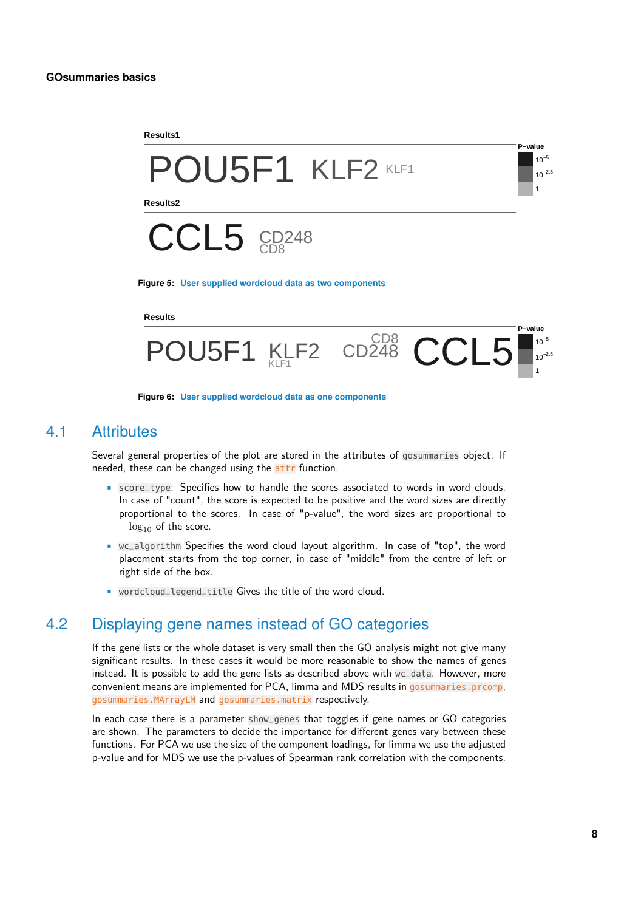

#### **Results**



**Figure 6: User supplied wordcloud data as one components**

### 4.1 Attributes

Several general properties of the plot are stored in the attributes of gosummaries object. If needed, these can be changed using the attr function.

- score\_type: Specifies how to handle the scores associated to words in word clouds. In case of "count", the score is expected to be positive and the word sizes are directly proportional to the scores. In case of "p-value", the word sizes are proportional to  $-\log_{10}$  of the score.
- wc\_algorithm Specifies the word cloud layout algorithm. In case of "top", the word placement starts from the top corner, in case of "middle" from the centre of left or right side of the box.
- <span id="page-7-0"></span>• wordcloud\_legend\_title Gives the title of the word cloud.

### 4.2 Displaying gene names instead of GO categories

If the gene lists or the whole dataset is very small then the GO analysis might not give many significant results. In these cases it would be more reasonable to show the names of genes instead. It is possible to add the gene lists as described above with wc\_data. However, more convenient means are implemented for PCA, limma and MDS results in gosummaries.prcomp, gosummaries.MArrayLM and gosummaries.matrix respectively.

In each case there is a parameter show\_genes that toggles if gene names or GO categories are shown. The parameters to decide the importance for different genes vary between these functions. For PCA we use the size of the component loadings, for limma we use the adjusted p-value and for MDS we use the p-values of Spearman rank correlation with the components.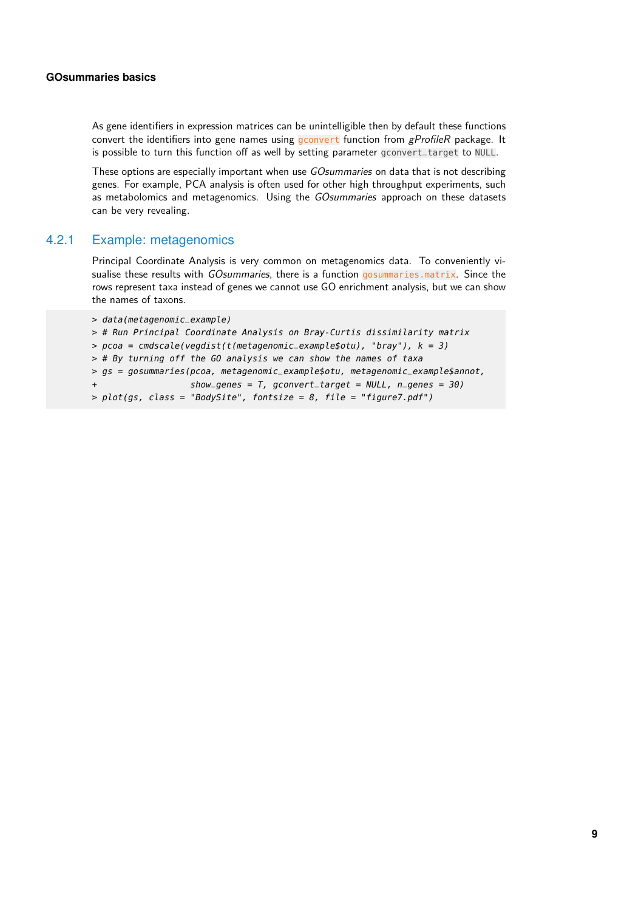As gene identifiers in expression matrices can be unintelligible then by default these functions convert the identifiers into gene names using gconvert function from  $gProfileR$  package. It is possible to turn this function off as well by setting parameter gconvert\_target to NULL.

These options are especially important when use GOsummaries on data that is not describing genes. For example, PCA analysis is often used for other high throughput experiments, such as metabolomics and metagenomics. Using the GOsummaries approach on these datasets can be very revealing.

### 4.2.1 Example: metagenomics

<span id="page-8-0"></span>Principal Coordinate Analysis is very common on metagenomics data. To conveniently visualise these results with GOsummaries, there is a function gosummaries.matrix. Since the rows represent taxa instead of genes we cannot use GO enrichment analysis, but we can show the names of taxons.

```
> data(metagenomic_example)
> # Run Principal Coordinate Analysis on Bray-Curtis dissimilarity matrix
> pcoa = cmdscale(vegdist(t(metagenomic_example,otu), "bray"), k = 3)> # By turning off the GO analysis we can show the names of taxa
> gs = gosummaries(pcoa, metagenomic_example$otu, metagenomic_example$annot,
                   show\_genes = T, gconvert_target = NULL, n_genes = 30)
> plot(qs, class = "BodySite", fontsize = 8, file = "figure7.pdf")
```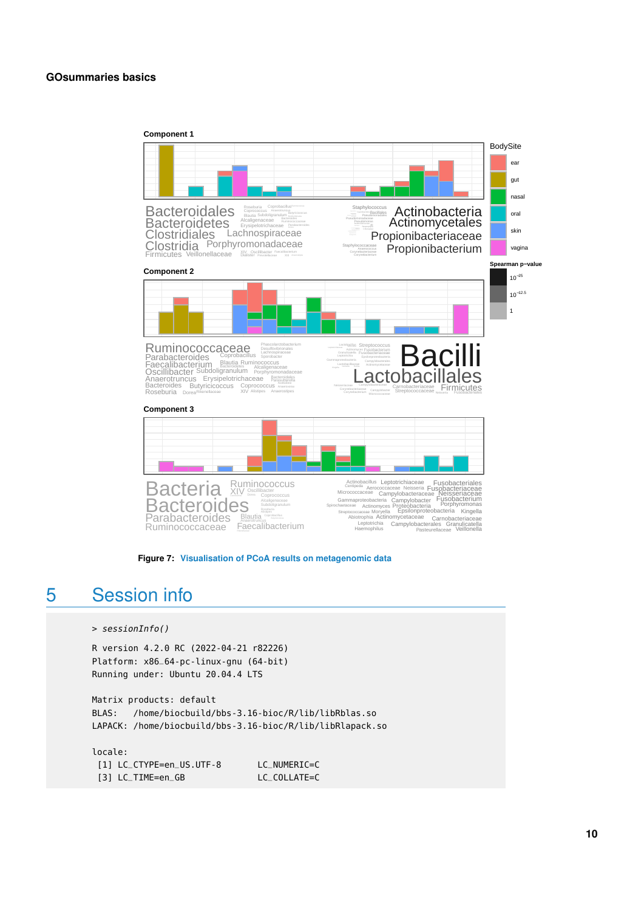



## 5 Session info

```
> sessionInfo()
```
R version 4.2.0 RC (2022-04-21 r82226) Platform: x86\_64-pc-linux-gnu (64-bit) Running under: Ubuntu 20.04.4 LTS

Matrix products: default BLAS: /home/biocbuild/bbs-3.16-bioc/R/lib/libRblas.so LAPACK: /home/biocbuild/bbs-3.16-bioc/R/lib/libRlapack.so

locale: [1] LC\_CTYPE=en\_US.UTF-8 LC\_NUMERIC=C [3] LC\_TIME=en\_GB LC\_COLLATE=C